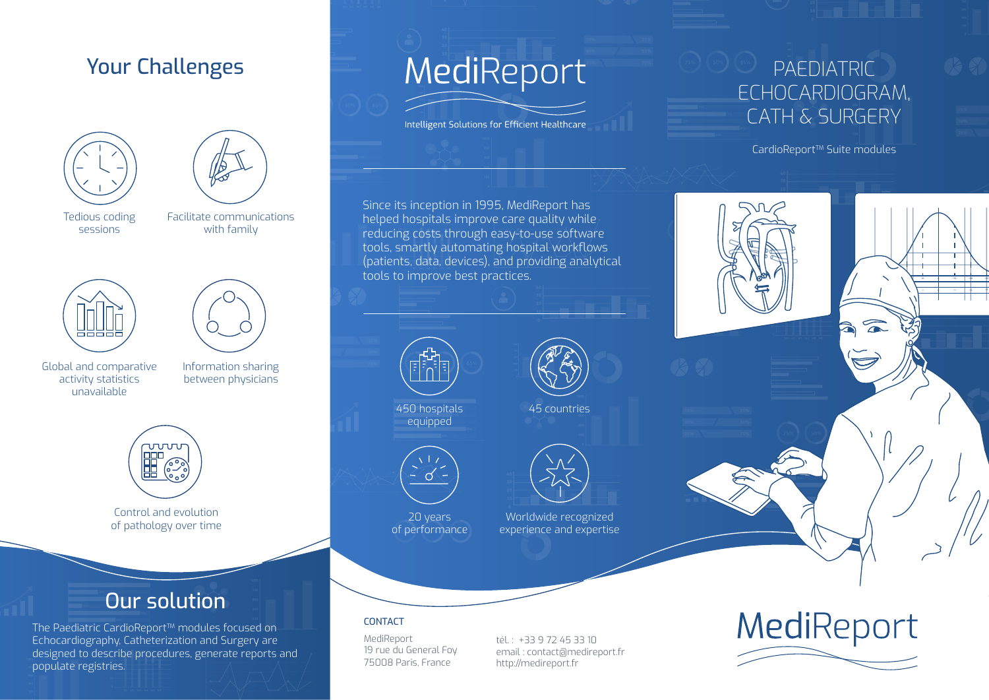## Your Challenges





Tedious coding sessions

Facilitate communications with family





Global and comparative activity statistics unavailable

Information sharing between physicians



Control and evolution of pathology over time

## Our solution

The Paediatric CardioReport<sup>™</sup> modules focused on Echocardiography, Catheterization and Surgery are designed to describe procedures, generate reports and populate registries.

# MediReport

Intelligent Solutions for Efficient Healthcare

## PAEDIATRIC ECHOCARDIOGRAM, CATH & SURGERY

CardioReport™ Suite modules

RV LV

-40 -30 -20 -10 0 +10 +20 +30 +40 -4 -3 -2 -1 0 +1 +2 +3 +4

Since its inception in 1995, MediReport has helped hospitals improve care quality while reducing costs through easy-to-use software tools, smartly automating hospital workflows (patients, data, devices), and providing analytical tools to improve best practices.



450 hospitals equipped



20 years of performance





Worldwide recognized experience and expertise

### CONTACT

MediReport 19 rue du General Foy 75008 Paris, France

tél. : +33 9 72 45 33 10 email : contact@medireport.fr http://medireport.fr